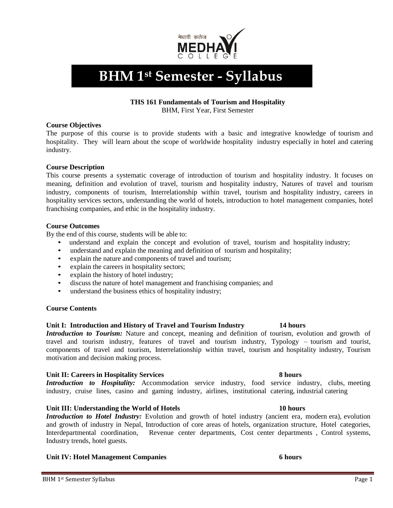

# **BHM 1 st Semester - Syllabus**

# **THS 161 Fundamentals of Tourism and Hospitality**

BHM, First Year, First Semester

#### **Course Objectives**

The purpose of this course is to provide students with a basic and integrative knowledge of tourism and hospitality. They will learn about the scope of worldwide hospitality industry especially in hotel and catering industry.

### **Course Description**

This course presents a systematic coverage of introduction of tourism and hospitality industry. It focuses on meaning, definition and evolution of travel, tourism and hospitality industry, Natures of travel and tourism industry, components of tourism, Interrelationship within travel, tourism and hospitality industry, careers in hospitality services sectors, understanding the world of hotels, introduction to hotel management companies, hotel franchising companies, and ethic in the hospitality industry.

### **Course Outcomes**

By the end of this course, students will be able to:

- understand and explain the concept and evolution of travel, tourism and hospitality industry;
- understand and explain the meaning and definition of tourism and hospitality;
- explain the nature and components of travel and tourism;<br>• explain the careers in hospitality sectors:
- explain the careers in hospitality sectors;
- explain the history of hotel industry;
- discuss the nature of hotel management and franchising companies; and
- understand the business ethics of hospitality industry;

### **Course Contents**

### **Unit I: Introduction and History of Travel and Tourism Industry 14 hours**

*Introduction to Tourism:* Nature and concept, meaning and definition of tourism, evolution and growth of travel and tourism industry, features of travel and tourism industry, Typology – tourism and tourist, components of travel and tourism, Interrelationship within travel, tourism and hospitality industry, Tourism motivation and decision making process.

### **Unit II: Careers in Hospitality Services 8 hours**

*Introduction to Hospitality:* Accommodation service industry, food service industry, clubs, meeting industry, cruise lines, casino and gaming industry, airlines, institutional catering, industrial catering

#### **Unit III: Understanding the World of Hotels 10 hours**

*Introduction to Hotel Industry:* Evolution and growth of hotel industry (ancient era, modern era), evolution and growth of industry in Nepal, Introduction of core areas of hotels, organization structure, Hotel categories, Interdepartmental coordination, Revenue center departments, Cost center departments , Control systems, Industry trends, hotel guests.

### **Unit IV: Hotel Management Companies 6 hours**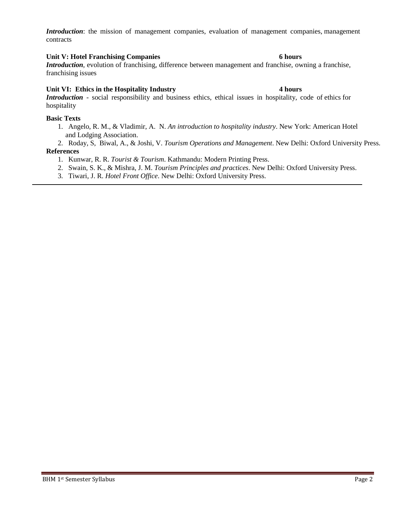*Introduction*: the mission of management companies, evaluation of management companies, management contracts

# **Unit V: Hotel Franchising Companies 6 hours**

*Introduction*, evolution of franchising, difference between management and franchise, owning a franchise, franchising issues

# **Unit VI: Ethics in the Hospitality Industry 4 hours**

*Introduction* - social responsibility and business ethics, ethical issues in hospitality, code of ethics for hospitality

# **Basic Texts**

- 1. Angelo, R. M., & Vladimir, A. N. *An introduction to hospitality industry*. New York: American Hotel and Lodging Association.
- 2. Roday, S, Biwal, A., & Joshi, V. *Tourism Operations and Management*. New Delhi: Oxford University Press. **References**
	- 1. Kunwar, R. R. *Tourist & Tourism*. Kathmandu: Modern Printing Press.
	- 2. Swain, S. K., & Mishra, J. M. *Tourism Principles and practices*. New Delhi: Oxford University Press.
	- 3. Tiwari, J. R. *Hotel Front Office*. New Delhi: Oxford University Press.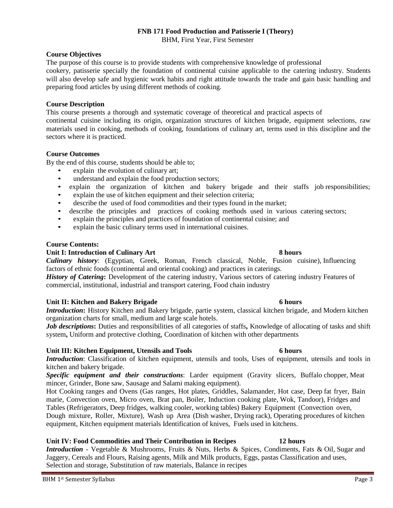# **FNB 171 Food Production and Patisserie I (Theory)**

BHM, First Year, First Semester

# **Course Objectives**

The purpose of this course is to provide students with comprehensive knowledge of professional

cookery, patisserie specially the foundation of continental cuisine applicable to the catering industry. Students will also develop safe and hygienic work habits and right attitude towards the trade and gain basic handling and preparing food articles by using different methods of cooking.

# **Course Description**

This course presents a thorough and systematic coverage of theoretical and practical aspects of continental cuisine including its origin, organization structures of kitchen brigade, equipment selections, raw materials used in cooking, methods of cooking, foundations of culinary art, terms used in this discipline and the sectors where it is practiced.

# **Course Outcomes**

By the end of this course, students should be able to;

- explain the evolution of culinary art;
- understand and explain the food production sectors;
- explain the organization of kitchen and bakery brigade and their staffs job responsibilities;
- explain the use of kitchen equipment and their selection criteria;
- describe the used of food commodities and their types found in the market;
- describe the principles and practices of cooking methods used in various catering sectors;
- explain the principles and practices of foundation of continental cuisine; and
- explain the basic culinary terms used in international cuisines.

# **Course Contents:**

# **Unit I: Introduction of Culinary Art 8 hours**

*Culinary history*: (Egyptian, Greek, Roman, French classical, Noble, Fusion cuisine), Influencing factors of ethnic foods (continental and oriental cooking) and practices in caterings.

*History of Catering***:** Development of the catering industry, Various sectors of catering industry Features of commercial, institutional, industrial and transport catering, Food chain industry

### **Unit II: Kitchen and Bakery Brigade 6 hours**

*Introduction***:** History Kitchen and Bakery brigade, partie system, classical kitchen brigade, and Modern kitchen organization charts for small, medium and large scale hotels.

*Job descriptions***:** Duties and responsibilities of all categories of staffs**,** Knowledge of allocating of tasks and shift system**,** Uniform and protective clothing, Coordination of kitchen with other departments

# **Unit III: Kitchen Equipment, Utensils and Tools 6 hours**

*Introduction*: Classification of kitchen equipment, utensils and tools, Uses of equipment, utensils and tools in kitchen and bakery brigade.

*Specific equipment and their constructions*: Larder equipment (Gravity slicers, Buffalo chopper, Meat mincer, Grinder, Bone saw, Sausage and Salami making equipment).

Hot Cooking ranges and Ovens (Gas ranges, Hot plates, Griddles, Salamander, Hot case, Deep fat fryer, Bain marie, Convection oven, Micro oven, Brat pan, Boiler, Induction cooking plate, Wok, Tandoor), Fridges and Tables (Refrigerators, Deep fridges, walking cooler, working tables) Bakery Equipment (Convection oven, Dough mixture, Roller, Mixture), Wash up Area (Dish washer, Drying rack), Operating procedures of kitchen equipment, Kitchen equipment materials Identification of knives, Fuels used in kitchens.

# **Unit IV: Food Commodities and Their Contribution in Recipes 12 hours**

*Introduction* - Vegetable & Mushrooms, Fruits & Nuts, Herbs & Spices, Condiments, Fats & Oil, Sugar and Jaggery, Cereals and Flours, Raising agents, Milk and Milk products, Eggs, pastas Classification and uses, Selection and storage, Substitution of raw materials, Balance in recipes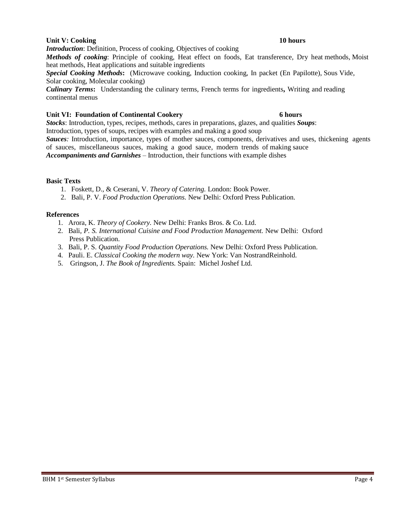### BHM 1st Semester Syllabus Page 4

# **Unit V: Cooking 10 hours**

*Introduction:* Definition, Process of cooking, Objectives of cooking

*Methods of cooking*: Principle of cooking, Heat effect on foods, Eat transference, Dry heat methods, Moist heat methods, Heat applications and suitable ingredients

*Special Cooking Methods***:** (Microwave cooking, Induction cooking, In packet (En Papilotte), Sous Vide, Solar cooking, Molecular cooking)

*Culinary Terms***:** Understanding the culinary terms, French terms for ingredients**,** Writing and reading continental menus

# **Unit VI: Foundation of Continental Cookery 6 hours**

*Stocks*: Introduction, types, recipes, methods, cares in preparations, glazes, and qualities *Soups*:

Introduction, types of soups, recipes with examples and making a good soup

*Sauces:* Introduction, importance, types of mother sauces, components, derivatives and uses, thickening agents of sauces, miscellaneous sauces, making a good sauce, modern trends of making sauce *Accompaniments and Garnishes* – Introduction, their functions with example dishes

# **Basic Texts**

1. Foskett, D., & Ceserani, V. *Theory of Catering.* London: Book Power.

2. Bali, P. V. *Food Production Operations.* New Delhi: Oxford Press Publication.

- 1. Arora, K. *Theory of Cookery.* New Delhi: Franks Bros. & Co. Ltd.
- 2. Bali*, P. S. International Cuisine and Food Production Management.* New Delhi: Oxford Press Publication.
- 3. Bali, P. S. *Quantity Food Production Operations.* New Delhi: Oxford Press Publication.
- 4. Pauli. E. *Classical Cooking the modern way.* New York: Van NostrandReinhold.
- 5. Gringson, J. *The Book of Ingredients.* Spain: Michel Joshef Ltd.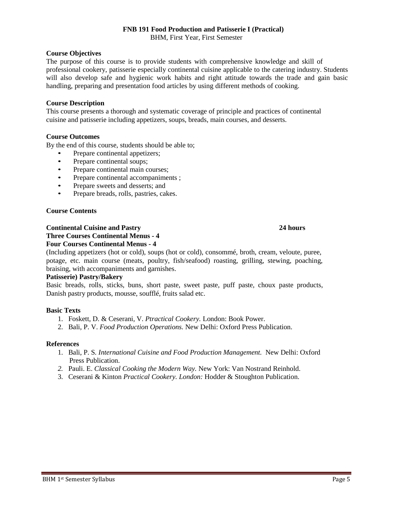# **FNB 191 Food Production and Patisserie I (Practical)**

BHM, First Year, First Semester

### **Course Objectives**

The purpose of this course is to provide students with comprehensive knowledge and skill of professional cookery, patisserie especially continental cuisine applicable to the catering industry. Students will also develop safe and hygienic work habits and right attitude towards the trade and gain basic handling, preparing and presentation food articles by using different methods of cooking.

# **Course Description**

This course presents a thorough and systematic coverage of principle and practices of continental cuisine and patisserie including appetizers, soups, breads, main courses, and desserts.

# **Course Outcomes**

By the end of this course, students should be able to;

- Prepare continental appetizers;
- Prepare continental soups;
- Prepare continental main courses;
- Prepare continental accompaniments ;
- Prepare sweets and desserts; and
- Prepare breads, rolls, pastries, cakes.

# **Course Contents**

#### **Continental Cuisine and Pastry 24 hours Three Courses Continental Menus - 4 Four Courses Continental Menus - 4**

(Including appetizers (hot or cold), soups (hot or cold), consommé, broth, cream, veloute, puree, potage, etc. main course (meats, poultry, fish/seafood) roasting, grilling, stewing, poaching, braising, with accompaniments and garnishes.

# **Patisserie) Pastry/Bakery**

Basic breads, rolls, sticks, buns, short paste, sweet paste, puff paste, choux paste products, Danish pastry products, mousse, soufflé, fruits salad etc.

### **Basic Texts**

- 1. Foskett, D. & Ceserani, V. *Ptractical Cookery.* London: Book Power.
- 2. Bali, P. V. *Food Production Operations.* New Delhi: Oxford Press Publication.

- 1. Bali, P. S*. International Cuisine and Food Production Management.* New Delhi: Oxford Press Publication.
- *2.* Pauli. E. *Classical Cooking the Modern Way.* New York: Van Nostrand Reinhold.
- 3. Ceserani & Kinton *Practical Cookery. London:* Hodder & Stoughton Publication.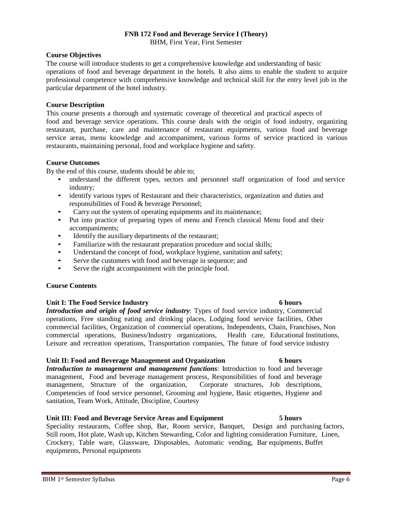# **FNB 172 Food and Beverage Service I (Theory)**

BHM, First Year, First Semester

#### **Course Objectives**

The course will introduce students to get a comprehensive knowledge and understanding of basic operations of food and beverage department in the hotels. It also aims to enable the student to acquire professional competence with comprehensive knowledge and technical skill for the entry level job in the particular department of the hotel industry.

#### **Course Description**

This course presents a thorough and systematic coverage of theoretical and practical aspects of food and beverage service operations. This course deals with the origin of food industry, organizing restaurant, purchase, care and maintenance of restaurant equipments, various food and beverage service areas, menu knowledge and accompaniment, various forms of service practiced in various restaurants, maintaining personal, food and workplace hygiene and safety.

#### **Course Outcomes**

By the end of this course, students should be able to;

- understand the different types, sectors and personnel staff organization of food and service industry;
- identify various types of Restaurant and their characteristics, organization and duties and responsibilities of Food & beverage Personnel;
- Carry out the system of operating equipments and its maintenance;
- Put into practice of preparing types of menu and French classical Menu food and their accompaniments;
- Identify the auxiliary departments of the restaurant;
- Familiarize with the restaurant preparation procedure and social skills;
- Understand the concept of food, workplace hygiene, sanitation and safety;
- Serve the customers with food and beverage in sequence; and
- Serve the right accompaniment with the principle food.

### **Course Contents**

### **Unit I: The Food Service Industry 6 hours**

*Introduction and origin of food service industry*: Types of food service industry, Commercial operations, Free standing eating and drinking places, Lodging food service facilities, Other commercial facilities, Organization of commercial operations, Independents, Chain, Franchises, Non commercial operations, Business/Industry organizations, Health care, Educational Institutions, Leisure and recreation operations, Transportation companies, The future of food service industry

### **Unit II: Food and Beverage Management and Organization 6 hours**

*Introduction to management and management functions*: Introduction to food and beverage management, Food and beverage management process, Responsibilities of food and beverage management, Structure of the organization, Corporate structures, Job descriptions, Competencies of food service personnel, Grooming and hygiene, Basic etiquettes, Hygiene and sanitation, Team Work, Attitude, Discipline, Courtesy

### **Unit III: Food and Beverage Service Areas and Equipment 5 hours**

Speciality restaurants, Coffee shop, Bar, Room service, Banquet, Design and purchasing factors, Still room, Hot plate, Wash up, Kitchen Stewarding, Color and lighting consideration Furniture, Linen, Crockery, Table ware, Glassware, Disposables, Automatic vending, Bar equipments, Buffet equipments, Personal equipments

# BHM 1<sup>st</sup> Semester Syllabus **Page 6**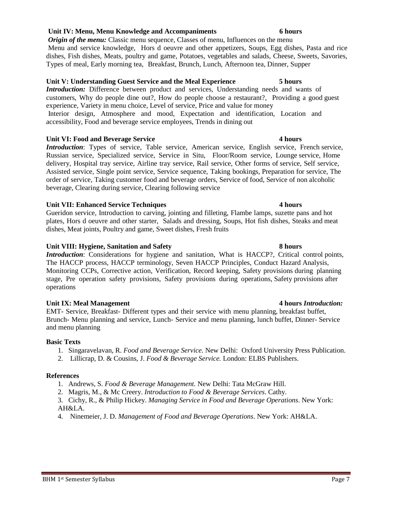# **Unit IV: Menu, Menu Knowledge and Accompaniments 6 hours**

*Origin of the menu:* Classic menu sequence, Classes of menu, Influences on the menu Menu and service knowledge, Hors d oeuvre and other appetizers, Soups, Egg dishes, Pasta and rice dishes, Fish dishes, Meats, poultry and game, Potatoes, vegetables and salads, Cheese, Sweets, Savories, Types of meal, Early morning tea, Breakfast, Brunch, Lunch, Afternoon tea, Dinner, Supper

#### **Unit V: Understanding Guest Service and the Meal Experience 5 hours**

*Introduction:* Difference between product and services, Understanding needs and wants of customers, Why do people dine out?, How do people choose a restaurant?, Providing a good guest experience, Variety in menu choice, Level of service, Price and value for money Interior design, Atmosphere and mood, Expectation and identification, Location and accessibility, Food and beverage service employees, Trends in dining out

#### **Unit VI: Food and Beverage Service 4 hours**

*Introduction*: Types of service, Table service, American service, English service, French service, Russian service, Specialized service, Service in Situ, Floor/Room service, Lounge service, Home delivery, Hospital tray service, Airline tray service, Rail service, Other forms of service, Self service, Assisted service, Single point service, Service sequence, Taking bookings, Preparation for service, The order of service, Taking customer food and beverage orders, Service of food, Service of non alcoholic beverage, Clearing during service, Clearing following service

#### **Unit VII: Enhanced Service Techniques 4 hours**

Gueridon service, Introduction to carving, jointing and filleting, Flambe lamps, suzette pans and hot plates, Hors d oeuvre and other starter, Salads and dressing, Soups, Hot fish dishes, Steaks and meat dishes, Meat joints, Poultry and game, Sweet dishes, Fresh fruits

#### **Unit VIII: Hygiene, Sanitation and Safety 8 hours**

*Introduction*: Considerations for hygiene and sanitation, What is HACCP?, Critical control points, The HACCP process, HACCP terminology, Seven HACCP Principles, Conduct Hazard Analysis, Monitoring CCPs, Corrective action, Verification, Record keeping, Safety provisions during planning stage, Pre operation safety provisions, Safety provisions during operations, Safety provisions after operations

#### **Unit IX: Meal Management 4 hours** *Introduction:*

EMT- Service, Breakfast- Different types and their service with menu planning, breakfast buffet, Brunch- Menu planning and service, Lunch- Service and menu planning, lunch buffet, Dinner- Service and menu planning

#### **Basic Texts**

- 1. Singaravelavan, R. *Food and Beverage Service.* New Delhi: Oxford University Press Publication.
- 2. Lillicrap, D. & Cousins, J. *Food & Beverage Service.* London: ELBS Publishers.

#### **References**

- 1. Andrews, S. *Food & Beverage Management.* New Delhi: Tata McGraw Hill.
- 2. Magris, M., & Mc Creery. *Introduction to Food & Beverage Services*. Cathy.

# 3. Cichy, R., & Philip Hickey. *Managing Service in Food and Beverage Operations*. New York: AH&LA.

4. Ninemeier, J. D. *Management of Food and Beverage Operations*. New York: AH&LA.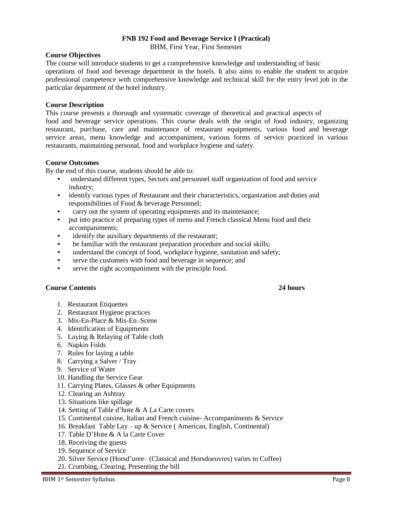# **FNB 192 Food and Beverage Service I (Practical)**

BHM, First Year, First Semester

#### **Course Objectives**

The course will introduce students to get a comprehensive knowledge and understanding of basic operations of food and beverage department in the hotels. It also aims to enable the student to acquire professional competence with comprehensive knowledge and technical skill for the entry level job in the particular department of the hotel industry.

#### **Course Description**

This course presents a thorough and systematic coverage of theoretical and practical aspects of food and beverage service operations. This course deals with the origin of food industry, organizing restaurant, purchase, care and maintenance of restaurant equipments, various food and beverage service areas, menu knowledge and accompaniment, various forms of service practiced in various restaurants, maintaining personal, food and workplace hygiene and safety.

#### **Course Outcomes**

By the end of this course, students should be able to:

- understand different types, Sectors and personnel staff organization of food and service industry;
- identify various types of Restaurant and their characteristics, organization and duties and responsibilities of Food & beverage Personnel;
- carry out the system of operating equipments and its maintenance;
- put into practice of preparing types of menu and French classical Menu food and their accompaniments;
- identify the auxiliary departments of the restaurant;
- be familiar with the restaurant preparation procedure and social skills;
- understand the concept of food, workplace hygiene, sanitation and safety;
- serve the customers with food and beverage in sequence; and
- serve the right accompaniment with the principle food.

### **Course Contents 24 hours**

- 1. Restaurant Etiquettes
- 2. Restaurant Hygiene practices
- 3. Mis-En-Place & Mis-En–Scene
- 4. Identification of Equipments
- 5. Laying & Relaying of Table cloth
- 6. Napkin Folds
- 7. Rules for laying a table
- 8. Carrying a Salver / Tray
- 9. Service of Water
- 10. Handling the Service Gear
- 11. Carrying Plates, Glasses & other Equipments
- 12. Clearing an Ashtray
- 13. Situations like spillage
- 14. Setting of Table d'hote & A La Carte covers
- 15. Continental cuisine, Italian and French cuisine- Accompaniments & Service
- 16. Breakfast Table Lay up & Service ( American, English, Continental)
- 17. Table D'Hote & A la Carte Cover
- 18. Receiving the guests
- 19. Sequence of Service
- 20. Silver Service (Horsd'uree– (Classical and Horsdoeuvres) varies to Coffee)
- 21. Crumbing, Clearing, Presenting the bill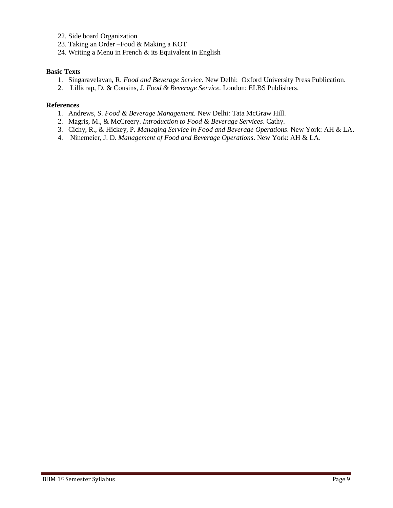- 22. Side board Organization
- 23. Taking an Order –Food & Making a KOT
- 24. Writing a Menu in French & its Equivalent in English

# **Basic Texts**

- 1. Singaravelavan, R. *Food and Beverage Service.* New Delhi: Oxford University Press Publication.
- 2. Lillicrap, D. & Cousins, J. *Food & Beverage Service.* London: ELBS Publishers.

- 1. Andrews, S. *Food & Beverage Management.* New Delhi: Tata McGraw Hill.
- 2. Magris, M., & McCreery. *Introduction to Food & Beverage Services*. Cathy.
- 3. Cichy, R., & Hickey, P. *Managing Service in Food and Beverage Operations*. New York: AH & LA.
- 4. Ninemeier, J. D. *Management of Food and Beverage Operations*. New York: AH & LA.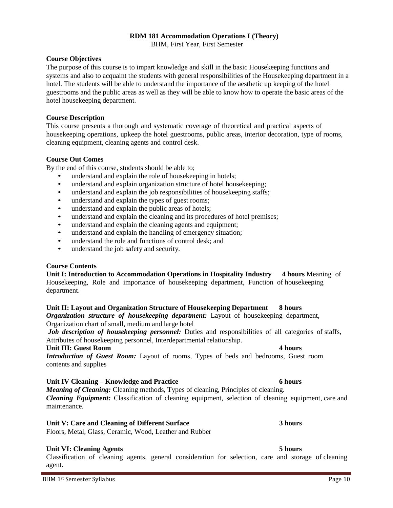#### **RDM 181 Accommodation Operations I (Theory)**

BHM, First Year, First Semester

#### **Course Objectives**

The purpose of this course is to impart knowledge and skill in the basic Housekeeping functions and systems and also to acquaint the students with general responsibilities of the Housekeeping department in a hotel. The students will be able to understand the importance of the aesthetic up keeping of the hotel guestrooms and the public areas as well as they will be able to know how to operate the basic areas of the hotel housekeeping department.

#### **Course Description**

This course presents a thorough and systematic coverage of theoretical and practical aspects of housekeeping operations, upkeep the hotel guestrooms, public areas, interior decoration, type of rooms, cleaning equipment, cleaning agents and control desk.

#### **Course Out Comes**

By the end of this course, students should be able to;

- understand and explain the role of house keeping in hotels;
- understand and explain organization structure of hotel housekeeping;
- understand and explain the job responsibilities of house keeping staffs;
- understand and explain the types of guest rooms;
- understand and explain the public areas of hotels;
- understand and explain the cleaning and its procedures of hotel premises;
- understand and explain the cleaning agents and equipment;
- understand and explain the handling of emergency situation;
- understand the role and functions of control desk; and
- understand the job safety and security.

### **Course Contents**

**Unit I: Introduction to Accommodation Operations in Hospitality Industry 4 hours** Meaning of Housekeeping, Role and importance of housekeeping department, Function of housekeeping department.

### **Unit II: Layout and Organization Structure of Housekeeping Department 8 hours**

#### *Organization structure of housekeeping department:* Layout of housekeeping department, Organization chart of small, medium and large hotel

*Job description of housekeeping personnel:* Duties and responsibilities of all categories of staffs, Attributes of housekeeping personnel, Interdepartmental relationship.

#### **Unit III: Guest Room 4 hours**

*Introduction of Guest Room:* Layout of rooms, Types of beds and bedrooms, Guest room contents and supplies

### **Unit IV Cleaning – Knowledge and Practice 6 hours**

*Meaning of Cleaning:* Cleaning methods, Types of cleaning, Principles of cleaning. *Cleaning Equipment:* Classification of cleaning equipment, selection of cleaning equipment, care and maintenance.

### **Unit V: Care and Cleaning of Different Surface 3 hours**

Floors, Metal, Glass, Ceramic, Wood, Leather and Rubber

### **Unit VI: Cleaning Agents** 5 hours **5 hours**

Classification of cleaning agents, general consideration for selection, care and storage of cleaning agent.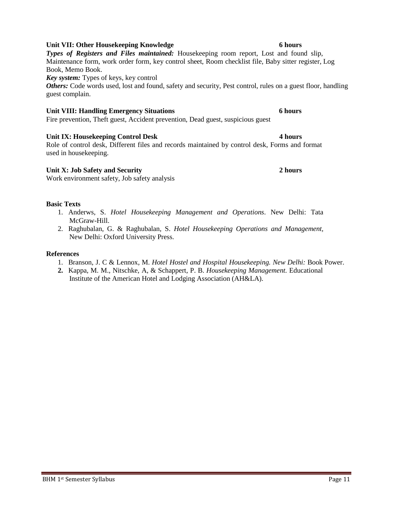# **Unit VII: Other Housekeeping Knowledge 6 hours**

# *Types of Registers and Files maintained:* Housekeeping room report, Lost and found slip, Maintenance form, work order form, key control sheet, Room checklist file, Baby sitter register, Log Book, Memo Book.

*Key system:* Types of keys, key control

*Others:* Code words used, lost and found, safety and security, Pest control, rules on a guest floor, handling guest complain.

# **Unit VIII: Handling Emergency Situations 6 hours**

Fire prevention, Theft guest, Accident prevention, Dead guest, suspicious guest

# **Unit IX: Housekeeping Control Desk 4 hours**

Role of control desk, Different files and records maintained by control desk, Forms and format used in housekeeping.

# **Unit X: Job Safety and Security 2 hours**

Work environment safety, Job safety analysis

# **Basic Texts**

- 1. Anderws, S. *Hotel Housekeeping Management and Operations*. New Delhi: Tata McGraw-Hill.
- 2. Raghubalan, G. & Raghubalan, S. *Hotel Housekeeping Operations and Management,* New Delhi: Oxford University Press.

- 1. Branson, J. C & Lennox, M. *Hotel Hostel and Hospital Housekeeping. New Delhi:* Book Power.
- **2.** Kappa, M. M., Nitschke, A, & Schappert, P. B. *Housekeeping Management.* Educational Institute of the American Hotel and Lodging Association (AH&LA).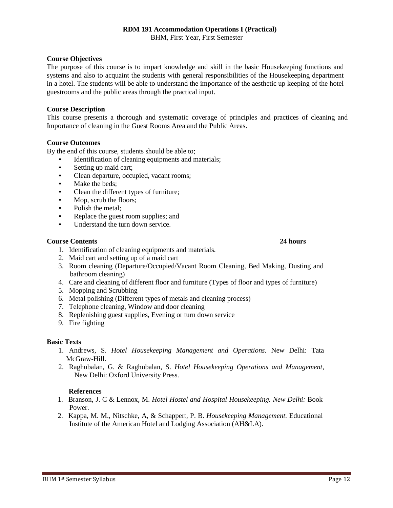# **RDM 191 Accommodation Operations I (Practical)**

BHM, First Year, First Semester

### **Course Objectives**

The purpose of this course is to impart knowledge and skill in the basic Housekeeping functions and systems and also to acquaint the students with general responsibilities of the Housekeeping department in a hotel. The students will be able to understand the importance of the aesthetic up keeping of the hotel guestrooms and the public areas through the practical input.

# **Course Description**

This course presents a thorough and systematic coverage of principles and practices of cleaning and Importance of cleaning in the Guest Rooms Area and the Public Areas.

# **Course Outcomes**

By the end of this course, students should be able to;

- Identification of cleaning equipments and materials;
- Setting up maid cart:
- Clean departure, occupied, vacant rooms;
- Make the beds;
- Clean the different types of furniture;
- Mop, scrub the floors;
- Polish the metal;
- Replace the guest room supplies; and
- Understand the turn down service.

# **Course Contents 24 hours**

- 1. Identification of cleaning equipments and materials.
- 2. Maid cart and setting up of a maid cart
- 3. Room cleaning (Departure/Occupied/Vacant Room Cleaning, Bed Making, Dusting and bathroom cleaning)
- 4. Care and cleaning of different floor and furniture (Types of floor and types of furniture)
- 5. Mopping and Scrubbing
- 6. Metal polishing (Different types of metals and cleaning process)
- 7. Telephone cleaning, Window and door cleaning
- 8. Replenishing guest supplies, Evening or turn down service
- 9. Fire fighting

### **Basic Texts**

- 1. Andrews, S. *Hotel Housekeeping Management and Operations*. New Delhi: Tata McGraw-Hill.
- 2. Raghubalan, G. & Raghubalan, S. *Hotel Housekeeping Operations and Management,* New Delhi: Oxford University Press.

- 1. Branson, J. C & Lennox, M. *Hotel Hostel and Hospital Housekeeping. New Delhi:* Book Power.
- 2. Kappa, M. M., Nitschke, A, & Schappert, P. B. *Housekeeping Management.* Educational Institute of the American Hotel and Lodging Association (AH&LA).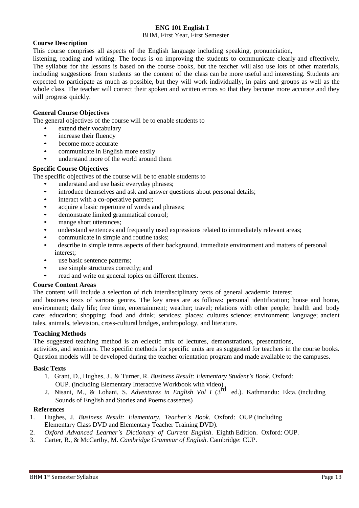# **ENG 101 English I**

BHM, First Year, First Semester

# **Course Description**

This course comprises all aspects of the English language including speaking, pronunciation,

listening, reading and writing. The focus is on improving the students to communicate clearly and effectively. The syllabus for the lessons is based on the course books, but the teacher will also use lots of other materials, including suggestions from students so the content of the class can be more useful and interesting. Students are expected to participate as much as possible, but they will work individually, in pairs and groups as well as the whole class. The teacher will correct their spoken and written errors so that they become more accurate and they will progress quickly.

# **General Course Objectives**

The general objectives of the course will be to enable students to

- extend their vocabulary
- increase their fluency
- become more accurate
- communicate in English more easily
- understand more of the world around them

# **Specific Course Objectives**

The specific objectives of the course will be to enable students to

- understand and use basic everyday phrases;
- introduce themselves and ask and answer questions about personal details;
- interact with a co-operative partner;
- acquire a basic repertoire of words and phrases;
- demonstrate limited grammatical control;
- mange short utterances:
- understand sentences and frequently used expressions related to immediately relevant areas;
- communicate in simple and routine tasks;
- describe in simple terms aspects of their background, immediate environment and matters of personal interest;
- use basic sentence patterns;
- use simple structures correctly; and
- read and write on general topics on different themes.

### **Course Content Areas**

The content will include a selection of rich interdisciplinary texts of general academic interest and business texts of various genres. The key areas are as follows: personal identification; house and home, environment; daily life; free time, entertainment; weather; travel; relations with other people; health and body care; education; shopping; food and drink; services; places; cultures science; environment; language; ancient tales, animals, television, cross-cultural bridges, anthropology, and literature.

### **Teaching Methods**

The suggested teaching method is an eclectic mix of lectures, demonstrations, presentations, activities, and seminars. The specific methods for specific units are as suggested for teachers in the course books. Question models will be developed during the teacher orientation program and made available to the campuses.

### **Basic Texts**

- 1. Grant, D., Hughes, J., & Turner, R. *Business Result: Elementary Student's Book*. Oxford: OUP. (including Elementary Interactive Workbook with video)
- 2. Nisani, M., & Lohani, S. *Adventures in English Vol I* (3 rd ed.). Kathmandu: Ekta. (including Sounds of English and Stories and Poems cassettes)

- 1. Hughes, J. *Business Result: Elementary. Teacher's Book*. Oxford: OUP (including Elementary Class DVD and Elementary Teacher Training DVD).
- 2. *Oxford Advanced Learner's Dictionary of Current English*. Eighth Edition. Oxford: OUP.
- 3. Carter, R., & McCarthy, M. *Cambridge Grammar of English*. Cambridge: CUP.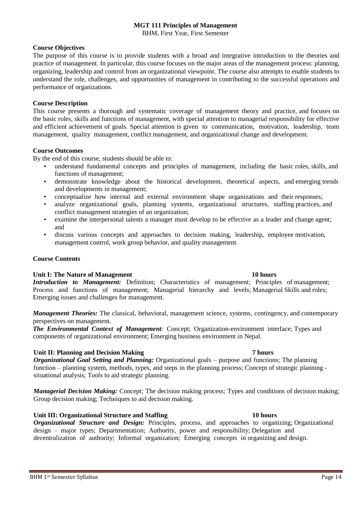# **MGT 111 Principles of Management**

BHM, First Year, First Semester

# **Course Objectives**

The purpose of this course is to provide students with a broad and integrative introduction to the theories and practice of management. In particular, this course focuses on the major areas of the management process: planning, organizing, leadership and control from an organizational viewpoint. The course also attempts to enable students to understand the role, challenges, and opportunities of management in contributing to the successful operations and performance of organizations.

# **Course Description**

This course presents a thorough and systematic coverage of management theory and practice, and focuses on the basic roles, skills and functions of management, with special attention to managerial responsibility for effective and efficient achievement of goals. Special attention is given to communication, motivation, leadership, team management, quality management, conflict management, and organizational change and development.

### **Course Outcomes**

By the end of this course, students should be able to:

- understand fundamental concepts and principles of management, including the basic roles, skills, and functions of management;
- demonstrate knowledge about the historical development, theoretical aspects, and emerging trends and developments in management;
- conceptualize how internal and external environment shape organizations and their responses;
- analyze organizational goals, planning systems, organizational structures, staffing practices, and conflict management strategies of an organization;
- examine the interpersonal talents a manager must develop to be effective as a leader and change agent; and
- discuss various concepts and approaches to decision making, leadership, employee motivation, management control, work group behavior, and quality management.

### **Course Contents**

### **Unit I: The Nature of Management 10 hours**

*Introduction to Management:* Definition; Characteristics of management; Principles of management; Process and functions of management; Managerial hierarchy and levels; Managerial Skills and roles; Emerging issues and challenges for management.

*Management Theories:* The classical, behavioral, management science, systems, contingency, and contemporary perspectives on management.

*The Environmental Context of Management:* Concept; Organization-environment interface; Types and components of organizational environment; Emerging business environment in Nepal.

# **Unit II: Planning and Decision Making 7 hours**

*Organizational Goal Setting and Planning:* Organizational goals – purpose and functions; The planning function – planning system, methods, types, and steps in the planning process; Concept of strategic planning situational analysis; Tools to aid strategic planning.

*Managerial Decision Making:* Concept; The decision making process; Types and conditions of decision making; Group decision making; Techniques to aid decision making.

# **Unit III: Organizational Structure and Staffing 10 hours**

*Organizational Structure and Design:* Principles, process, and approaches to organizing; Organizational design – major types; Departmentation; Authority, power and responsibility; Delegation and decentralization of authority; Informal organization; Emerging concepts in organizing and design.